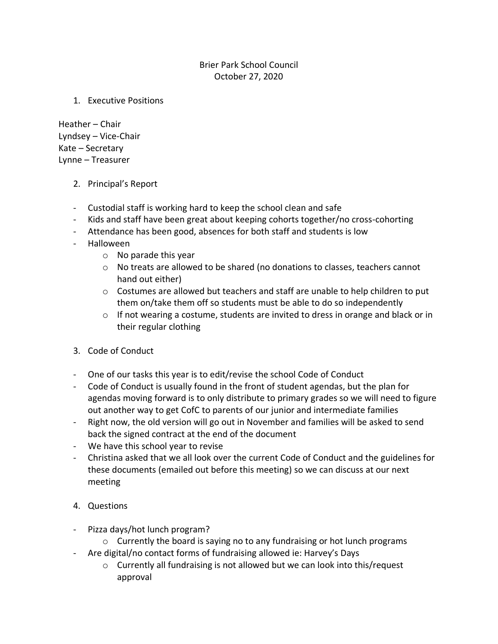## Brier Park School Council October 27, 2020

1. Executive Positions

Heather – Chair Lyndsey – Vice-Chair Kate – Secretary Lynne – Treasurer

- 2. Principal's Report
- Custodial staff is working hard to keep the school clean and safe
- Kids and staff have been great about keeping cohorts together/no cross-cohorting
- Attendance has been good, absences for both staff and students is low
- Halloween
	- o No parade this year
	- $\circ$  No treats are allowed to be shared (no donations to classes, teachers cannot hand out either)
	- o Costumes are allowed but teachers and staff are unable to help children to put them on/take them off so students must be able to do so independently
	- $\circ$  If not wearing a costume, students are invited to dress in orange and black or in their regular clothing
- 3. Code of Conduct
- One of our tasks this year is to edit/revise the school Code of Conduct
- Code of Conduct is usually found in the front of student agendas, but the plan for agendas moving forward is to only distribute to primary grades so we will need to figure out another way to get CofC to parents of our junior and intermediate families
- Right now, the old version will go out in November and families will be asked to send back the signed contract at the end of the document
- We have this school year to revise
- Christina asked that we all look over the current Code of Conduct and the guidelines for these documents (emailed out before this meeting) so we can discuss at our next meeting
- 4. Questions
- Pizza days/hot lunch program?
	- $\circ$  Currently the board is saying no to any fundraising or hot lunch programs
- Are digital/no contact forms of fundraising allowed ie: Harvey's Days
	- o Currently all fundraising is not allowed but we can look into this/request approval